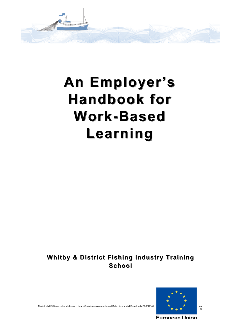

# **An Employer's n Employer's Handbook for Handbook for Work-Based Learning**

Whitby & District Fishing Industry Training **School**



Macintosh HD:Users:mikehutchinson:Library:Containers:com.apple.mail:Data:Library:Mail Downloads:BB05CBA4<br>Coc

Furonean Union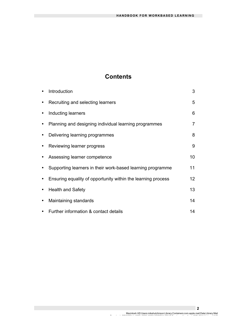# **Contents**

T.

| Introduction                                                 | 3               |
|--------------------------------------------------------------|-----------------|
| Recruiting and selecting learners                            | 5               |
| Inducting learners                                           | 6               |
| Planning and designing individual learning programmes        | 7               |
| Delivering learning programmes                               | 8               |
| Reviewing learner progress                                   | 9               |
| Assessing learner competence                                 | 10              |
| Supporting learners in their work-based learning programme   | 11              |
| Ensuring equality of opportunity within the learning process | 12 <sup>2</sup> |
| <b>Health and Safety</b>                                     | 13              |
| Maintaining standards                                        | 14              |
| Further information & contact details                        | 14              |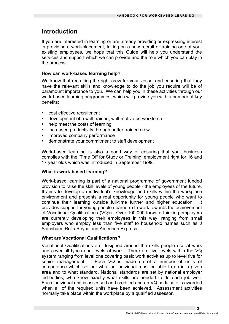## **Introduction**

If you are interested in learning or are already providing or expressing interest in providing a work-placement, taking on a new recruit or training one of your existing employees, we hope that this Guide will help you understand the services and support which we can provide and the role which you can play in the process.

## **How can work-based learning help?**

We know that recruiting the right crew for your vessel and ensuring that they have the relevant skills and knowledge to do the job you require will be of paramount importance to you. We can help you in these activities through our work-based learning programmes, which will provide you with a number of key benefits:

- cost effective recruitment
- development of a well trained, well-motivated workforce
- help meet the costs of learning
- increased productivity through better trained crew
- improved company performance
- demonstrate your commitment to staff development

Work-based learning is also a good way of ensuring that your business complies with the 'Time Off for Study or Training' employment right for 16 and 17 year olds which was introduced in September 1999.

## **What is work-based learning?**

Work-based learning is part of a national programme of government funded provision to raise the skill levels of young people - the employees of the future. It aims to develop an individual's knowledge and skills within the workplace environment and presents a real opportunity for young people who want to continue their learning outside full-time further and higher education. It provides support for young people (learners) to work towards the achievement of Vocational Qualifications (VQs). Over 100,000 forward thinking employers are currently developing their employees in this way, ranging from small employers who employ less than five staff to household names such as J Sainsbury, Rolls Royce and American Express.

## **What are Vocational Qualifications?**

Vocational Qualifications are designed around the skills people use at work and cover all types and levels of work. There are five levels within the VQ system ranging from level one covering basic work activities up to level five for senior management. Each VQ is made up of a number of units of competence which set out what an individual must be able to do in a given area and to what standard. National standards are set by national employer led-bodies, who know exactly what skills are needed to do each job well. Each individual unit is assessed and credited and an VQ certificate is awarded when all of the required units have been achieved. Assessment activities normally take place within the workplace by a qualified assessor.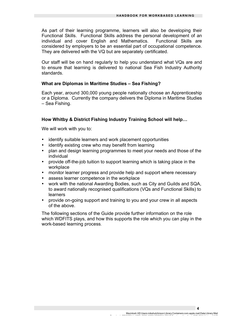As part of their learning programme, learners will also be developing their Functional Skills. Functional Skills address the personal development of an individual and cover English and Mathematics. Functional Skills are considered by employers to be an essential part of occupational competence. They are delivered with the VQ but are separately certificated.

Our staff will be on hand regularly to help you understand what VQs are and to ensure that learning is delivered to national Sea Fish Industry Authority standards.

#### **What are Diplomas in Maritime Studies – Sea Fishing?**

Each year, around 300,000 young people nationally choose an Apprenticeship or a Diploma. Currently the company delivers the Diploma in Maritime Studies – Sea Fishing.

## **How Whitby & District Fishing Industry Training School will help…**

We will work with you to:

- identify suitable learners and work placement opportunities
- identify existing crew who may benefit from learning
- plan and design learning programmes to meet your needs and those of the individual
- provide off-the-job tuition to support learning which is taking place in the workplace
- monitor learner progress and provide help and support where necessary
- assess learner competence in the workplace
- work with the national Awarding Bodies, such as City and Guilds and SQA, to award nationally recognised qualifications (VQs and Functional Skills) to learners
- provide on-going support and training to you and your crew in all aspects of the above.

The following sections of the Guide provide further information on the role which WDFITS plays, and how this supports the role which you can play in the work-based learning process.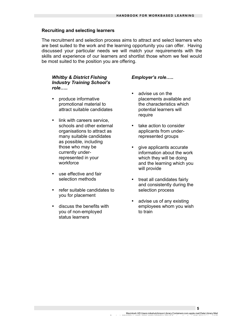#### **Recruiting and selecting learners**

The recruitment and selection process aims to attract and select learners who are best suited to the work and the learning opportunity you can offer. Having discussed your particular needs we will match your requirements with the skills and experience of our learners and shortlist those whom we feel would be most suited to the position you are offering.

## *Whitby & District Fishing Industry Training School's role…..*

- produce informative promotional material to attract suitable candidates
- link with careers service schools and other external organisations to attract as many suitable candidates as possible, including those who may be currently underrepresented in your workforce
- use effective and fair selection methods
- refer suitable candidates to you for placement
- discuss the benefits with you of non-employed status learners

#### *Employer's role…..*

- advise us on the placements available and the characteristics which potential learners will require
- take action to consider applicants from underrepresented groups
- give applicants accurate information about the work which they will be doing and the learning which you will provide
- treat all candidates fairly and consistently during the selection process
- advise us of any existing employees whom you wish to train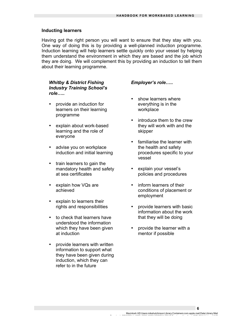#### **Inducting learners**

Having got the right person you will want to ensure that they stay with you. One way of doing this is by providing a well-planned induction programme. Induction learning will help learners settle quickly onto your vessel by helping them understand the environment in which they are based and the job which they are doing. We will complement this by providing an induction to tell them about their learning programme.

## *Whitby & District Fishing Industry Training School's role…..*

- provide an induction for learners on their learning programme
- explain about work-based learning and the role of everyone
- advise you on workplace induction and initial learning
- train learners to gain the mandatory health and safety at sea certificates
- explain how VQs are achieved
- explain to learners their rights and responsibilities
- to check that learners have understood the information which they have been given at induction
- provide learners with written information to support what they have been given during induction, which they can refer to in the future

#### *Employer's role…..*

- show learners where everything is in the workplace
- introduce them to the crew they will work with and the skipper
- familiarise the learner with the health and safety procedures specific to your vessel
- explain your vessel's policies and procedures
- inform learners of their conditions of placement or employment
- provide learners with basic information about the work that they will be doing
- provide the learner with a mentor if possible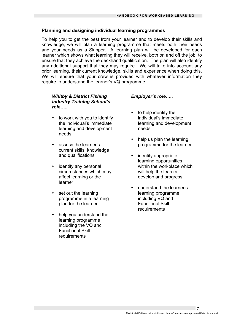## **Planning and designing individual learning programmes**

To help you to get the best from your learner and to develop their skills and knowledge, we will plan a learning programme that meets both their needs and your needs as a Skipper. A learning plan will be developed for each learner which shows what learning they will receive, both on and off the job, to ensure that they achieve the deckhand qualification. The plan will also identify any additional support that they may require. We will take into account any prior learning, their current knowledge, skills and experience when doing this. We will ensure that your crew is provided with whatever information they require to understand the learner's VQ programme.

## *Whitby & District Fishing Industry Training School's role…..*

- to work with you to identify the individual's immediate learning and development needs
- assess the learner's current skills, knowledge and qualifications
- identify any personal circumstances which may affect learning or the learner
- set out the learning programme in a learning plan for the learner
- help you understand the learning programme including the VQ and Functional Skill requirements

## *Employer's role…..*

- to help identify the individual's immediate learning and development needs
- help us plan the learning programme for the learner
- identify appropriate learning opportunities within the workplace which will help the learner develop and progress
- understand the learner's learning programme including VQ and Functional Skill requirements

Macintosh HD:Users:mikehutchinson:Library:Containers:com.apple.mail:Data:Library:Mail Downloads:BB05CBA4-1CE7-4B7C-8CB7-2F5DE2A4F3AF:Employer Handbook DIPLOMA fishing.JUNE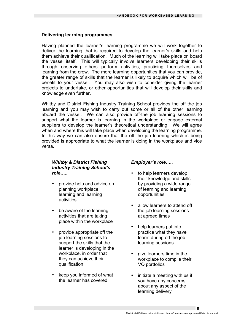## **Delivering learning programmes**

Having planned the learner's learning programme we will work together to deliver the learning that is required to develop the learner's skills and help them achieve their qualification. Much of the learning will take place on board the vessel itself. This will typically involve learners developing their skills through observing others perform activities, practising themselves and learning from the crew. The more learning opportunities that you can provide, the greater range of skills that the learner is likely to acquire which will be of benefit to your vessel. You may also wish to consider giving the learner projects to undertake, or other opportunities that will develop their skills and knowledge even further.

Whitby and District Fishing Industry Training School provides the off the job learning and you may wish to carry out some or all of the other learning aboard the vessel. We can also provide off-the job learning sessions to support what the learner is learning in the workplace or engage external suppliers to develop the learner's theoretical understanding. We will agree when and where this will take place when developing the learning programme. In this way we can also ensure that the off the job learning which is being provided is appropriate to what the learner is doing in the workplace and vice versa.

## *Whitby & District Fishing Industry Training School's role…..*

- provide help and advice on planning workplace learning and learning activities
- be aware of the learning activities that are taking place within the workplace
- provide appropriate off the job learning sessions to support the skills that the learner is developing in the workplace, in order that they can achieve their qualification
- keep you informed of what the learner has covered

## *Employer's role…..*

- to help learners develop their knowledge and skills by providing a wide range of learning and learning opportunities
- allow learners to attend off the job learning sessions at agreed times
- help learners put into practice what they have learnt during off the job learning sessions
- give learners time in the workplace to compile their VQ portfolios
- initiate a meeting with us if you have any concerns about any aspect of the learning delivery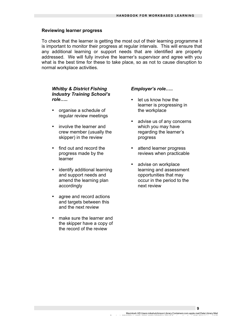#### **Reviewing learner progress**

To check that the learner is getting the most out of their learning programme it is important to monitor their progress at regular intervals. This will ensure that any additional learning or support needs that are identified are properly addressed. We will fully involve the learner's supervisor and agree with you what is the best time for these to take place, so as not to cause disruption to normal workplace activities.

## *Whitby & District Fishing Industry Training School's role…..*

- organise a schedule of regular review meetings
- involve the learner and crew member (usually the skipper) in the review
- find out and record the progress made by the learner
- identify additional learning and support needs and amend the learning plan accordingly
- agree and record actions and targets between this and the next review
- make sure the learner and the skipper have a copy of the record of the review

#### *Employer's role…..*

- let us know how the learner is progressing in the workplace
- advise us of any concerns which you may have regarding the learner's progress
- attend learner progress reviews when practicable
- advise on workplace learning and assessment opportunities that may occur in the period to the next review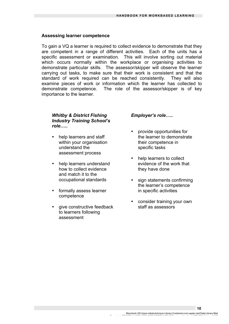#### **Assessing learner competence**

To gain a VQ a learner is required to collect evidence to demonstrate that they are competent in a range of different activities. Each of the units has a specific assessment or examination. This will involve sorting out material which occurs normally within the workplace or organising activities to demonstrate particular skills. The assessor/skipper will observe the learner carrying out tasks, to make sure that their work is consistent and that the standard of work required can be reached consistently. They will also examine pieces of work or information which the learner has collected to demonstrate competence. The role of the assessor/skipper is of key importance to the learner.

## *Whitby & District Fishing Industry Training School's role…..*

- help learners and staff within your organisation understand the assessment process
- help learners understand how to collect evidence and match it to the occupational standards
- formally assess learner competence
- give constructive feedback to learners following assessment

## *Employer's role…..*

- provide opportunities for the learner to demonstrate their competence in specific tasks
- help learners to collect evidence of the work that they have done
- sign statements confirming the learner's competence in specific activities
- consider training your own staff as assessors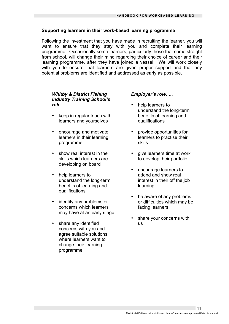## **Supporting learners in their work-based learning programme**

Following the investment that you have made in recruiting the learner, you will want to ensure that they stay with you and complete their learning programme. Occasionally some learners, particularly those that come straight from school, will change their mind regarding their choice of career and their learning programme, after they have joined a vessel. We will work closely with you to ensure that learners are given proper support and that any potential problems are identified and addressed as early as possible.

## *Whitby & District Fishing Industry Training School's role…..*

- keep in regular touch with learners and yourselves
- encourage and motivate learners in their learning programme
- show real interest in the skills which learners are developing on board
- help learners to understand the long-term benefits of learning and qualifications
- identify any problems or concerns which learners may have at an early stage
- share any identified concerns with you and agree suitable solutions where learners want to change their learning programme

## *Employer's role…..*

- help learners to understand the long-term benefits of learning and qualifications
- provide opportunities for learners to practise their skills
- give learners time at work to develop their portfolio
- encourage learners to attend and show real interest in their off the job learning
- be aware of any problems or difficulties which may be facing learners
- share your concerns with us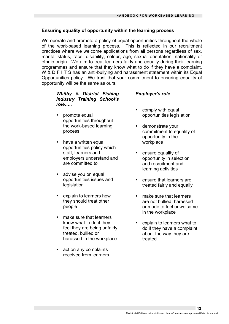## **Ensuring equality of opportunity within the learning process**

We operate and promote a policy of equal opportunities throughout the whole of the work-based learning process. This is reflected in our recruitment practices where we welcome applications from all persons regardless of sex, marital status, race, disability, colour, age, sexual orientation, nationality or ethnic origin. We aim to treat learners fairly and equally during their learning programmes and ensure that they know what to do if they have a complaint. W & D F I T S has an anti-bullying and harassment statement within its Equal Opportunities policy. We trust that your commitment to ensuring equality of opportunity will be the same as ours.

## *Whitby & District Fishing Industry Training School's role…..*

- promote equal opportunities throughout the work-based learning process
- have a written equal opportunities policy which staff, learners and employers understand and are committed to
- advise you on equal opportunities issues and legislation
- explain to learners how they should treat other people
- make sure that learners know what to do if they feel they are being unfairly treated, bullied or harassed in the workplace
- act on any complaints received from learners

## • *Employer's role…..*

- comply with equal opportunities legislation
- demonstrate your commitment to equality of opportunity in the workplace
- ensure equality of opportunity in selection and recruitment and learning activities
- ensure that learners are treated fairly and equally
- make sure that learners are not bullied, harassed or made to feel unwelcome in the workplace
- explain to learners what to do if they have a complaint about the way they are treated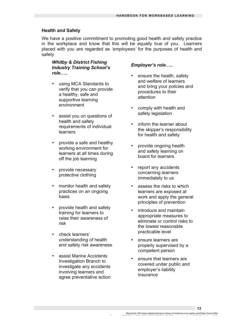## **Health and Safety**

We have a positive commitment to promoting good health and safety practice in the workplace and know that this will be equally true of you. Learners placed with you are regarded as *'employees'* for the purposes of health and safety.

## *Whitby & District Fishing Industry Training School's role…..*

- using MCA Standards to verify that you can provide a healthy, safe and supportive learning environment
- assist you on questions of health and safety requirements of individual learners
- provide a safe and healthy working environment for learners at all times during off the job learning
- provide necessary protective clothing
- monitor health and safety practices on an ongoing basis
- provide health and safety training for learners to raise their awareness of risk
- check learners' understanding of health and safety risk awareness
- assist Marine Accidents Investigation Branch to investigate any accidents involving learners and agree preventative action

## *Employer's role…..*

- ensure the health, safety and welfare of learners and bring your policies and procedures to their attention
- comply with health and safety legislation
- inform the learner about the skipper's responsibility for health and safety
- provide ongoing health and safety learning on board for learners
- report any accidents concerning learners immediately to us
- assess the risks to which learners are exposed at work and apply the general principles of prevention
- introduce and maintain appropriate measures to eliminate or control risks to the lowest reasonable practicable level
- ensure learners are properly supervised by a competent person
- ensure that learners are covered under public and employer's liability insurance